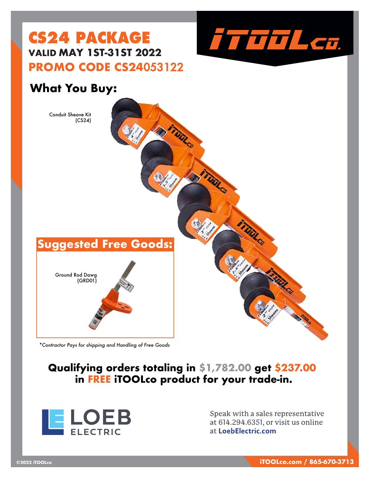

## **CS24 PACKAGE VALID MAY 1ST-31ST 2022 PROMO CODE CS24**053122

### **What You Buy:**



*\*Contractor Pays for shipping and Handling of Free Goods*

### **Qualifying orders totaling in \$1,782.00 get \$237.00 in FREE iTOOLco product for your trade-in.**



Speak with a sales representative at 614.294.6351, or visit us online at LoebElectric.com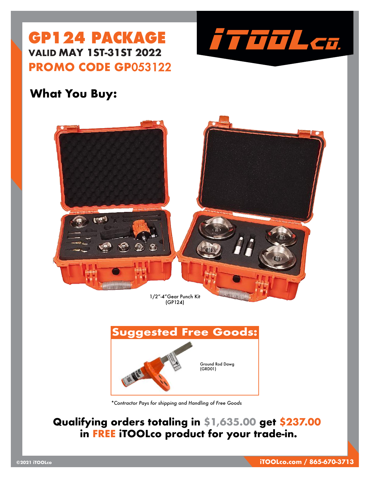



### **What You Buy:**



*\*Contractor Pays for shipping and Handling of Free Goods*

### **Qualifying orders totaling in \$1,635.00 get \$237.00 in FREE iTOOLco product for your trade-in.**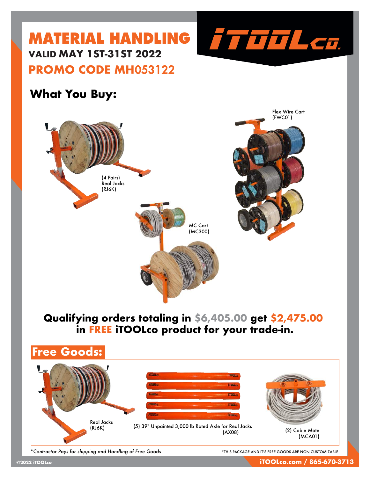

### **What You Buy:**



### **Qualifying orders totaling in \$6,405.00 get \$2,475.00 in FREE iTOOLco product for your trade-in.**



*\*Contractor Pays for shipping and Handling of Free Goods* \*THIS PACKAGE AND IT'S FREE GOODS ARE NON CUSTOMIZABLE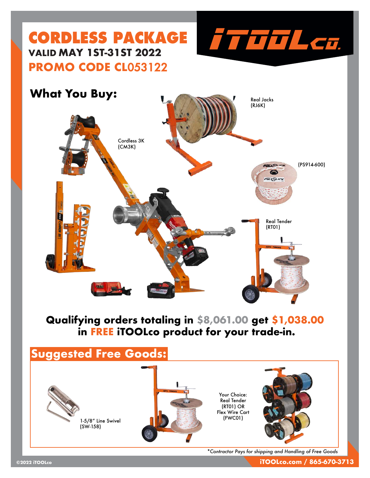

# **CORDLESS PACKAGE VALID MAY 1ST-31ST 2022 PROMO CODE CL**053122

### **What You Buy:**



### **Qualifying orders totaling in \$8,061.00 get \$1,038.00 in FREE iTOOLco product for your trade-in.**

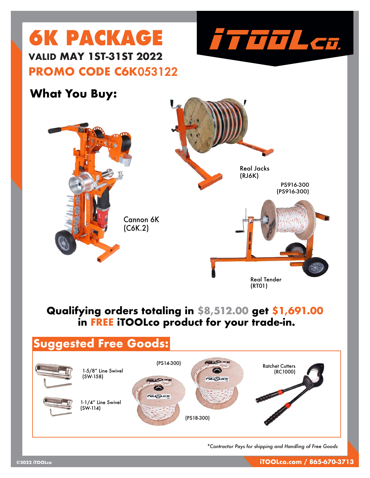

# **6K PACKAGE VALID MAY 1ST-31ST 2022 PROMO CODE C6K**053122

### **What You Buy:**



### **Qualifying orders totaling in \$8,512.00 get \$1,691.00 in FREE iTOOLco product for your trade-in.**

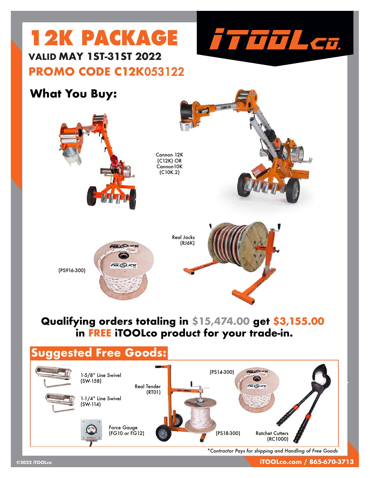

# **12K PACKAGE VALID MAY 1ST-31ST 2022 PROMO CODE C12K**053122

### **What You Buy:**



### **Qualifying orders totaling in \$15,474.00 get \$3,155.00 in FREE iTOOLco product for your trade-in.**

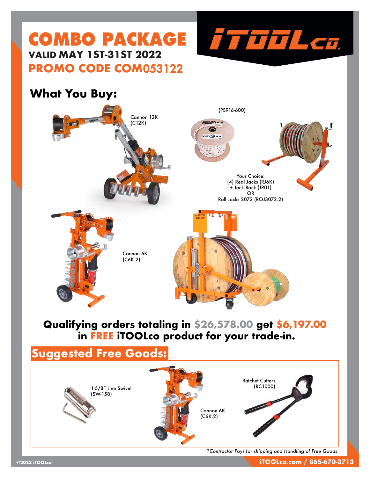## **COMBO PACKAGE VALID MAY 1ST-31ST 2022 PROMO CODE COM**053122





### **Qualifying orders totaling in \$26,578.00 get \$6,197.00 in FREE iTOOLco product for your trade-in.**



*\*Contractor Pays for shipping and Handling of Free Goods*

TTTTL Cu.

**©2022 iTOOLco iTOOLco.com / 865-670-3713**